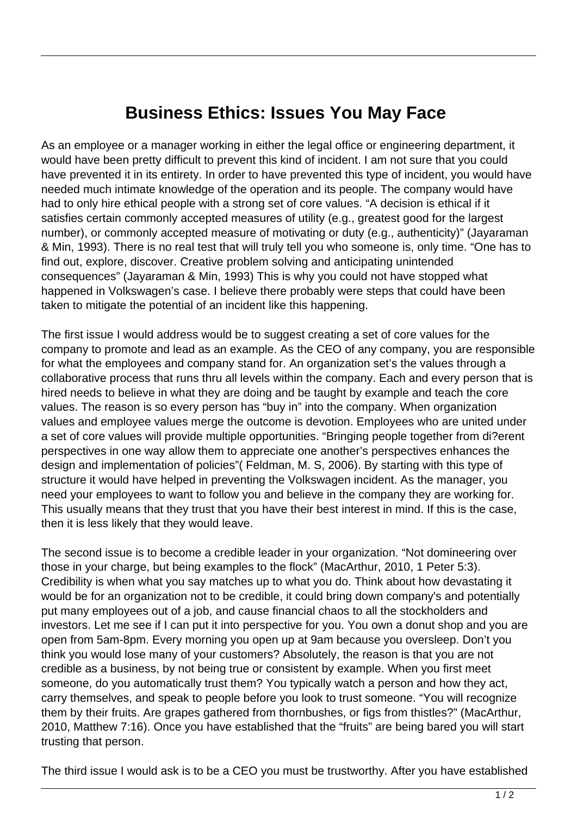## **Business Ethics: Issues You May Face**

As an employee or a manager working in either the legal office or engineering department, it would have been pretty difficult to prevent this kind of incident. I am not sure that you could have prevented it in its entirety. In order to have prevented this type of incident, you would have needed much intimate knowledge of the operation and its people. The company would have had to only hire ethical people with a strong set of core values. "A decision is ethical if it satisfies certain commonly accepted measures of utility (e.g., greatest good for the largest number), or commonly accepted measure of motivating or duty (e.g., authenticity)" (Jayaraman & Min, 1993). There is no real test that will truly tell you who someone is, only time. "One has to find out, explore, discover. Creative problem solving and anticipating unintended consequences" (Jayaraman & Min, 1993) This is why you could not have stopped what happened in Volkswagen's case. I believe there probably were steps that could have been taken to mitigate the potential of an incident like this happening.

The first issue I would address would be to suggest creating a set of core values for the company to promote and lead as an example. As the CEO of any company, you are responsible for what the employees and company stand for. An organization set's the values through a collaborative process that runs thru all levels within the company. Each and every person that is hired needs to believe in what they are doing and be taught by example and teach the core values. The reason is so every person has "buy in" into the company. When organization values and employee values merge the outcome is devotion. Employees who are united under a set of core values will provide multiple opportunities. "Bringing people together from di?erent perspectives in one way allow them to appreciate one another's perspectives enhances the design and implementation of policies"( Feldman, M. S, 2006). By starting with this type of structure it would have helped in preventing the Volkswagen incident. As the manager, you need your employees to want to follow you and believe in the company they are working for. This usually means that they trust that you have their best interest in mind. If this is the case, then it is less likely that they would leave.

The second issue is to become a credible leader in your organization. "Not domineering over those in your charge, but being examples to the flock" (MacArthur, 2010, 1 Peter 5:3). Credibility is when what you say matches up to what you do. Think about how devastating it would be for an organization not to be credible, it could bring down company's and potentially put many employees out of a job, and cause financial chaos to all the stockholders and investors. Let me see if I can put it into perspective for you. You own a donut shop and you are open from 5am-8pm. Every morning you open up at 9am because you oversleep. Don't you think you would lose many of your customers? Absolutely, the reason is that you are not credible as a business, by not being true or consistent by example. When you first meet someone, do you automatically trust them? You typically watch a person and how they act, carry themselves, and speak to people before you look to trust someone. "You will recognize them by their fruits. Are grapes gathered from thornbushes, or figs from thistles?" (MacArthur, 2010, Matthew 7:16). Once you have established that the "fruits" are being bared you will start trusting that person.

The third issue I would ask is to be a CEO you must be trustworthy. After you have established